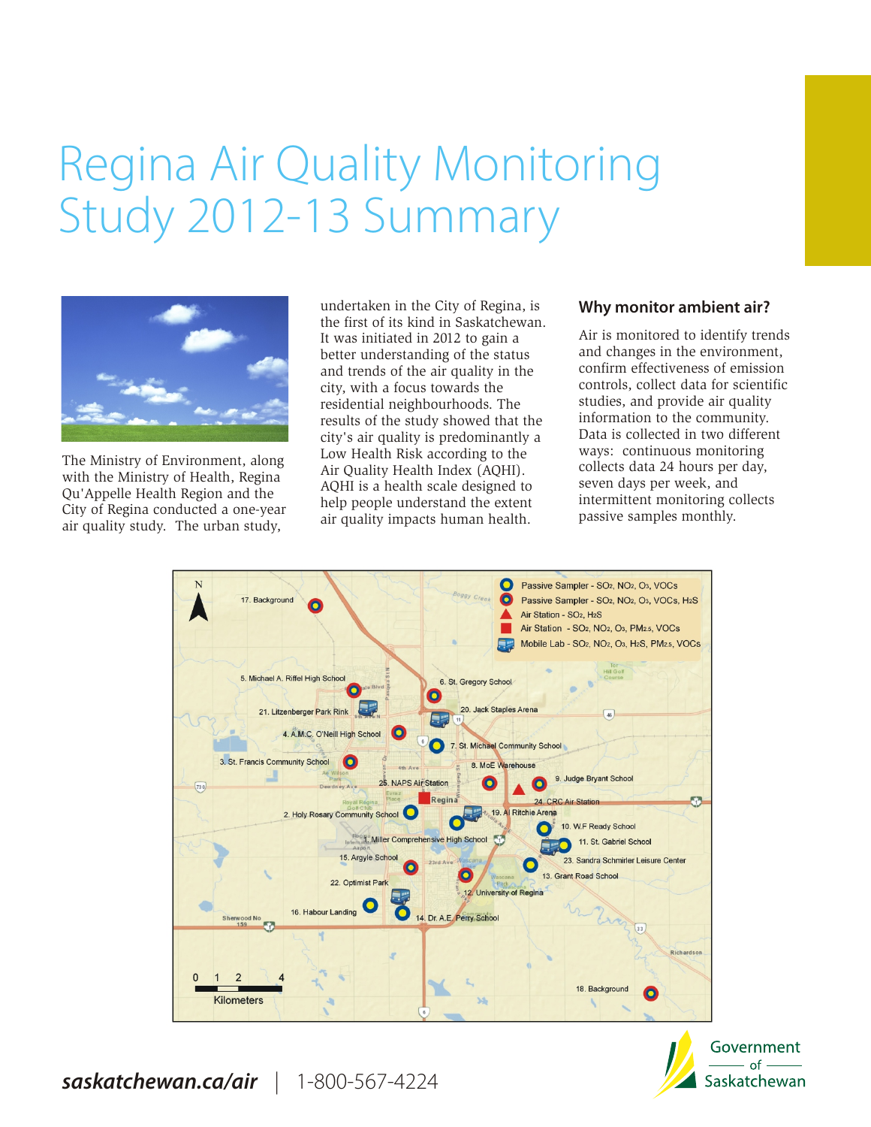# Regina Air Quality Monitoring Study 2012-13 Summary



With the winnstry of Health, Negina<br>Qu'Appelle Health Region and the and help people understand the extent<br>City of Regina conducted a one-year help people understand the extent intermittent monitoring collects<br>air quality air quality study. The urban study,

undertaken in the City of Regina, is **Why monitor ambient air?** the first of its kind in Saskatchewan. It was initiated in 2012 to gain a<br>
hetter understanding of the status and changes in the environment, better understanding of the status and changes in the environment,<br>and trends of the air quality in the confirm effectiveness of emission and trends of the air quality in the city, with a focus towards the residential neighbourhoods. The studies, and provide air quality results of the study showed that the information to the community. results of the study showed that the information to the community.<br>city's air quality is predominantly a Data is collected in two different city's air quality is predominantly a  $\frac{1}{2}$  Data is collected in two differently a state of two different low Health Risk according to the state ways: continuous monitoring The Ministry of Environment, along Low Health Risk according to the ways: continuous monitoring Air Quality Health Index (AQHI). Collects data 24 hours per day, with the Ministry of Health, Regina AQHI is a health scale de

controls, collect data for scientific<br>studies, and provide air quality





*saskatchewan.ca/air |* 1-800-567-4224